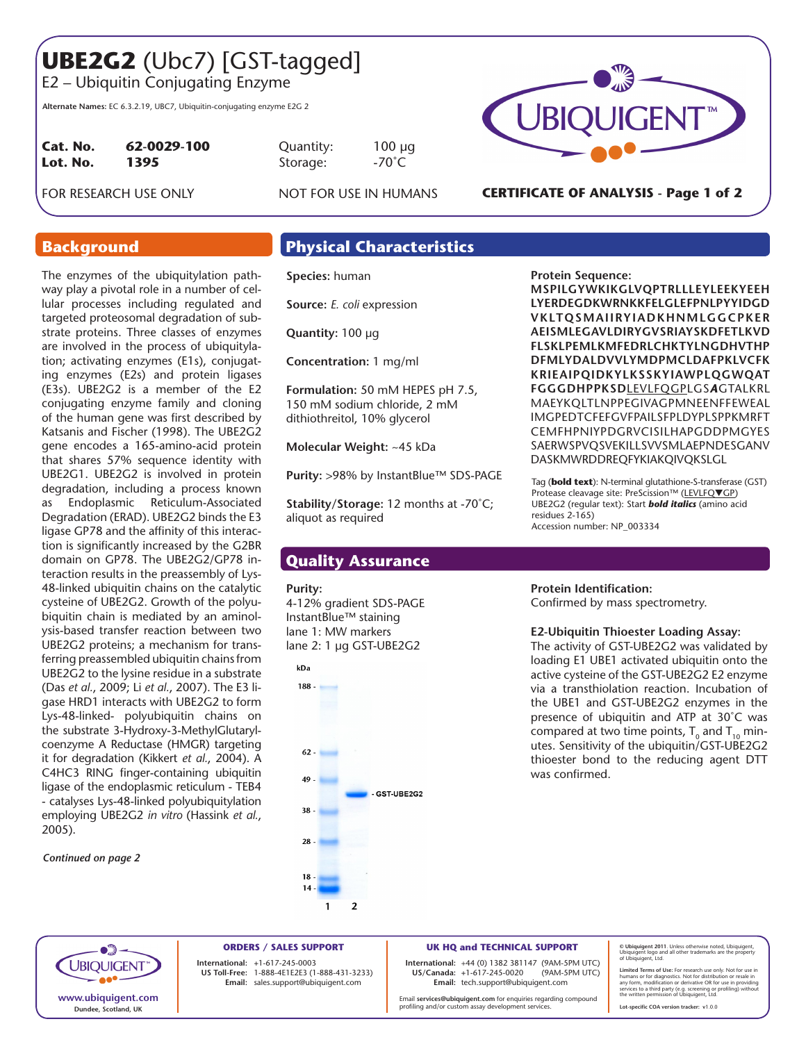# **UBE2G2** (Ubc7) [GST-tagged]

E2 – Ubiquitin Conjugating Enzyme

**Alternate Names:** EC 6.3.2.19, UBC7, Ubiquitin-conjugating enzyme E2G 2

| $\vert$ Cat. No. | 62-0029-100 | Quantity: | 100 μ           |
|------------------|-------------|-----------|-----------------|
| Lot. No.         | 1395        | Storage:  | $-70^{\circ}$ C |
|                  |             |           |                 |

100 µg

FOR RESEARCH USE ONLY NOT FOR USE IN HUMANS



**CERTIFICATE OF ANALYSIS - Page 1 of 2**

The enzymes of the ubiquitylation pathway play a pivotal role in a number of cellular processes including regulated and targeted proteosomal degradation of substrate proteins. Three classes of enzymes are involved in the process of ubiquitylation; activating enzymes (E1s), conjugating enzymes (E2s) and protein ligases (E3s). UBE2G2 is a member of the E2 conjugating enzyme family and cloning of the human gene was first described by Katsanis and Fischer (1998). The UBE2G2 gene encodes a 165-amino-acid protein that shares 57% sequence identity with UBE2G1. UBE2G2 is involved in protein degradation, including a process known as Endoplasmic Reticulum-Associated Degradation (ERAD). UBE2G2 binds the E3 ligase GP78 and the affinity of this interaction is significantly increased by the G2BR domain on GP78. The UBE2G2/GP78 interaction results in the preassembly of Lys-48-linked ubiquitin chains on the catalytic cysteine of UBE2G2. Growth of the polyubiquitin chain is mediated by an aminolysis-based transfer reaction between two UBE2G2 proteins; a mechanism for transferring preassembled ubiquitin chains from UBE2G2 to the lysine residue in a substrate (Das *et al.*, 2009; Li *et al.*, 2007). The E3 ligase HRD1 interacts with UBE2G2 to form Lys-48-linked- polyubiquitin chains on the substrate 3-Hydroxy-3-MethylGlutarylcoenzyme A Reductase (HMGR) targeting it for degradation (Kikkert *et al.*, 2004). A C4HC3 RING finger-containing ubiquitin ligase of the endoplasmic reticulum - TEB4 - catalyses Lys-48-linked polyubiquitylation employing UBE2G2 *in vitro* (Hassink *et al.*, 2005).

*Continued on page 2*

# **Background Physical Characteristics**

**Species:** human

**Source:** *E. coli* expression

**Quantity:** 100 µg

**Concentration:** 1 mg/ml

**Formulation:** 50 mM HEPES pH 7.5, 150 mM sodium chloride, 2 mM dithiothreitol, 10% glycerol

**Molecular Weight:** ~45 kDa

**Purity:** >98% by InstantBlue™ SDS-PAGE

**Stability/Storage:** 12 months at -70˚C; aliquot as required

# **Quality Assurance**

#### **Purity:**

4-12% gradient SDS-PAGE InstantBlue™ staining lane 1: MW markers lane 2: 1 µg GST-UBE2G2





**Protein Sequence:**

**MSPILGYWKIKGLVQPTRLLLEYLEEKYEEH LYERDEGDKWRNKKFELGLEFPNLPYYIDGD VKLTQSMAIIRYIADKHNMLGGCPKER AEISMLEGAVLDIRYGVSRIAYSKDFETLKVD FLSKLPEMLKMFEDRLCHKTYLNGDHVTHP DFMLYDALDVVLYMDPMCLDAFPKLVCFK KRIEAIPQIDKYLKSSKYIAWPLQGWQAT FGGGDHPPKSD**LEVLFQGPLGS*A*GTALKRL MAEYKQLTLNPPEGIVAGPMNEENFFEWEAL IMGPEDTCFEFGVFPAILSFPLDYPLSPPKMRFT CEMFHPNIYPDGRVCISILHAPGDDPMGYES SAERWSPVQSVEKILLSVVSMLAEPNDESGANV DASKMWRDDREQFYKIAKQIVQKSLGL

Tag (**bold text**): N-terminal glutathione-S-transferase (GST) Protease cleavage site: PreScission™ (LEVLFQVGP) UBE2G2 (regular text): Start *bold italics* (amino acid residues 2-165) Accession number: NP\_003334

### **Protein Identification:**

Confirmed by mass spectrometry.

#### **E2-Ubiquitin Thioester Loading Assay:**

The activity of GST-UBE2G2 was validated by loading E1 UBE1 activated ubiquitin onto the active cysteine of the GST-UBE2G2 E2 enzyme via a transthiolation reaction. Incubation of the UBE1 and GST-UBE2G2 enzymes in the presence of ubiquitin and ATP at 30˚C was compared at two time points,  $T_0$  and  $T_{10}$  minutes. Sensitivity of the ubiquitin/GST-UBE2G2 thioester bond to the reducing agent DTT was confirmed.



**ORDERS / SALES SUPPORT International: +**1-617-245-0003 **US Toll-Free:** 1-888-4E1E2E3 (1-888-431-3233) **Email:** sales.support@ubiquigent.com

**UK HQ and TECHNICAL SUPPORT**

**International:** +44 (0) 1382 381147 (9AM-5PM UTC) **US/Canada:** +1-617-245-0020 **Email:** tech.support@ubiquigent.com

Email **services@ubiquigent.com** for enquiries regarding compound profiling and/or custom assay development services.

**© Ubiquigent 2011**. Unless otherwise noted, Ubiquigent, Ubiquigent logo and all other trademarks are the property of Ubiquigent, Ltd.

Limited Terms of Use: For research use only. Not for use in<br>humans or for diagnostics. Not for distribution or resale in<br>any form, modification or derivative OR for use in providing<br>services to a third party (e.g. screenin

**Lot-specific COA version tracker: v**1.0.0